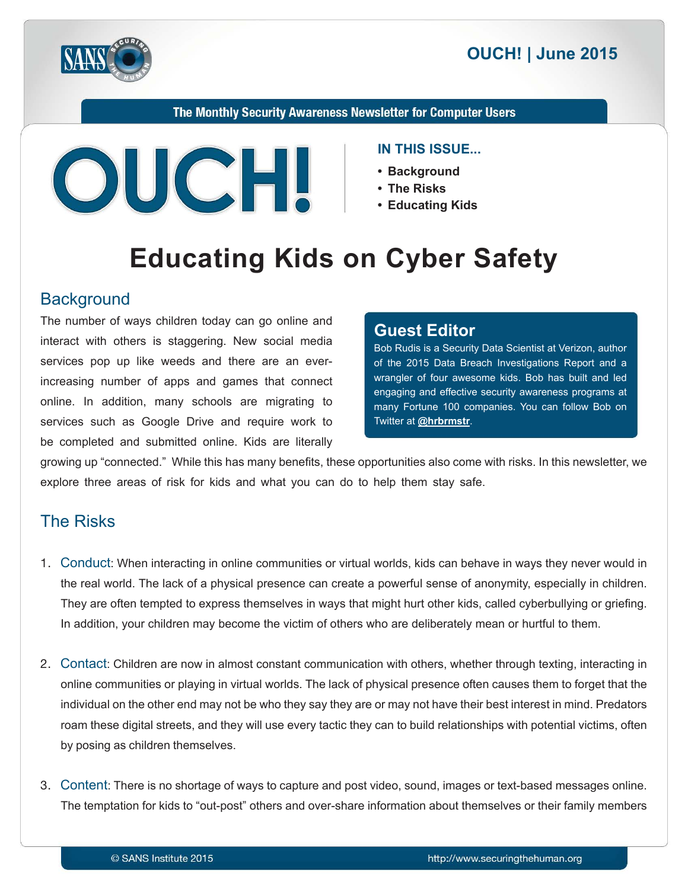



The Monthly Security Awareness Newsletter for Computer Users



#### **IN THIS ISSUE...**

- **Background•**
- **Risks The•**
- **Educating Kids**

# **Educating Kids on Cyber Safety**

#### **Background**

The number of ways children today can go online and interact with others is staggering. New social media services pop up like weeds and there are an ever-<br>increasing number of apps and games that connect online. In addition, many schools are migrating to services such as Google Drive and require work to be completed and submitted online. Kids are literally

#### **Editor Guest**

Bob Rudis is a Security Data Scientist at Verizon, author of the 2015 Data Breach Investigations Report and a wrangler of four awesome kids. Bob has built and led engaging and effective security awareness programs at many Fortune 100 companies. You can follow Bob on Twitter at **@[hrbrmstr](https://twitter.com/hrbrmstr)**.

growing up "connected." While this has many benefits, these opportunities also come with risks. In this newsletter, we explore three areas of risk for kids and what you can do to help them stay safe.

## **The Risks**

- 1. Conduct: When interacting in online communities or virtual worlds, kids can behave in ways they never would in the real world. The lack of a physical presence can create a powerful sense of anonymity, especially in children. They are often tempted to express themselves in ways that might hurt other kids, called cyberbullying or griefing. In addition, your children may become the victim of others who are deliberately mean or hurtful to them.
- 2. Contact: Children are now in almost constant communication with others, whether through texting, interacting in online communities or playing in virtual worlds. The lack of physical presence often causes them to forget that the individual on the other end may not be who they say they are or may not have their best interest in mind. Predators roam these digital streets, and they will use every tactic they can to build relationships with potential victims, often by posing as children themselves.
- 3. Content: There is no shortage of ways to capture and post video, sound, images or text-based messages online. The temptation for kids to "out-post" others and over-share information about themselves or their family members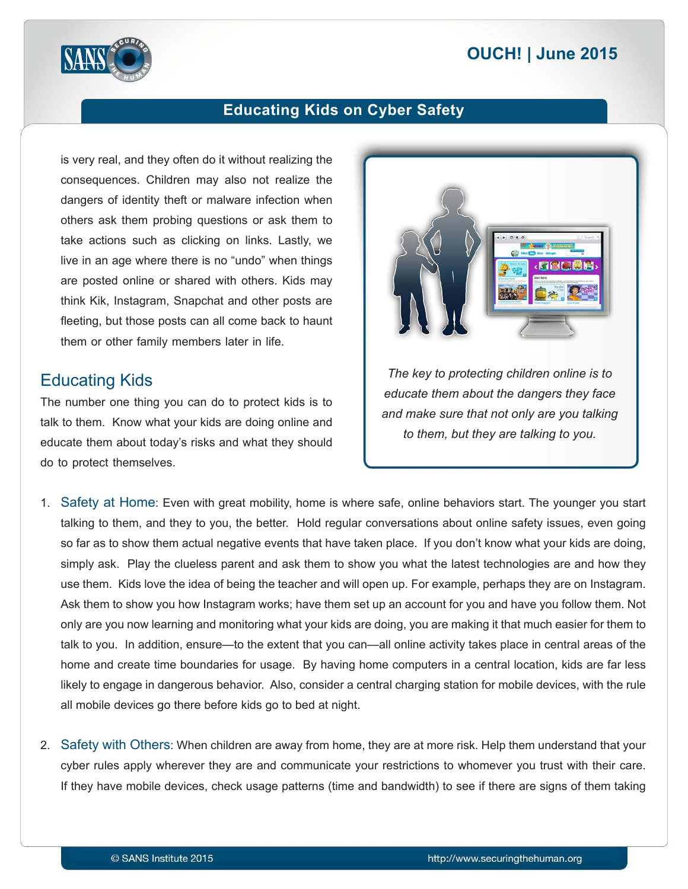# **2015 | OUCH! | June 2015**



## **Educating Kids on Cyber Safety**

is very real, and they often do it without realizing the consequences. Children may also not realize the dangers of identity theft or malware infection when others ask them probing questions or ask them to take actions such as clicking on links. Lastly, we live in an age where there is no "undo" when things are posted online or shared with others. Kids may think Kik, Instagram, Snapchat and other posts are fleeting, but those posts can all come back to haunt them or other family members later in life.

#### **Educating Kids**

The number one thing you can do to protect kids is to talk to them. Know what your kids are doing online and educate them about today's risks and what they should do to protect themselves.



*The key to protecting children online is to educate them about the dangers they face* and make sure that not only are you talking *to them, but they are talking to you.* 

- 1. Safety at Home: Even with great mobility, home is where safe, online behaviors start. The younger you start talking to them, and they to you, the better. Hold regular conversations about online safety issues, even going so far as to show them actual negative events that have taken place. If you don't know what your kids are doing, simply ask. Play the clueless parent and ask them to show you what the latest technologies are and how they use them. Kids love the idea of being the teacher and will open up. For example, perhaps they are on Instagram. Ask them to show you how Instagram works; have them set up an account for you and have you follow them. Not only are you now learning and monitoring what your kids are doing, you are making it that much easier for them to talk to you. In addition, ensure—to the extent that you can—all online activity takes place in central areas of the home and create time boundaries for usage. By having home computers in a central location, kids are far less likely to engage in dangerous behavior. Also, consider a central charging station for mobile devices, with the rule all mobile devices go there before kids go to bed at night.
- 2. Safety with Others: When children are away from home, they are at more risk. Help them understand that your cyber rules apply wherever they are and communicate your restrictions to whomever you trust with their care. If they have mobile devices, check usage patterns (time and bandwidth) to see if there are signs of them taking